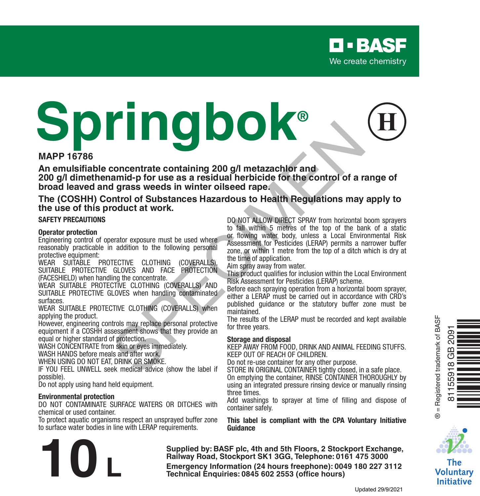# **MAPP 16786 Springbok® Example the contract control of a result of the CONFINIC (COVERALLS) when**<br>
in grass weeds in winter oilseed rape,<br>
and provide the control of a residual herbicide for the control of a residual ontrol of Substances Hazard

**An emulsifiable concentrate containing 200 g/l metazachlor and 200 g/l dimethenamid-p for use as a residual herbicide for the control of a range of broad leaved and grass weeds in winter oilseed rape.**

#### **The (COSHH) Control of Substances Hazardous to Health Regulations may apply to the use of this product at work.**

#### **SAFETY PRECAUTIONS**

#### **Operator protection**

Engineering control of operator exposure must be used where reasonably practicable in addition to the following personal protective equipment:

WEAR SUITABLE PROTECTIVE CLOTHING (COVERALLS), SUITABLE PROTECTIVE GLOVES AND FACE PROTECTION (FACESHIELD) when handling the concentrate.

WEAR SUITABLE PROTECTIVE CLOTHING (COVERALLS) AND SUITABLE PROTECTIVE GLOVES when handling contaminated surfaces.

WEAR SUITABLE PROTECTIVE CLOTHING (COVERALLS) when applying the product.

However, engineering controls may replace personal protective equipment if a COSHH assessment shows that they provide an equal or higher standard of protection.

WASH CONCENTRATE from skin or eyes immediately

WASH HANDS before meals and after work.

WHEN USING DO NOT EAT, DRINK OR SMOKE.

IF YOU FEEL UNWELL seek medical advice (show the label if possible).

Do not apply using hand held equipment.

#### **Environmental protection**

DO NOT CONTAMINATE SURFACE WATERS OR DITCHES with chemical or used container.

To protect aquatic organisms respect an unsprayed buffer zone to surface water bodies in line with LERAP requirements.



DO NOT ALLOW DIRECT SPRAY from horizontal boom sprayers to fall within 5 metres of the top of the bank of a static or flowing water body, unless a Local Environmental Risk Assessment for Pesticides (LERAP) permits a narrower buffer zone, or within 1 metre from the top of a ditch which is dry at the time of application.

Aim spray away from water.

This product qualifies for inclusion within the Local Environment Risk Assessment for Pesticides (LERAP) scheme.

Before each spraying operation from a horizontal boom sprayer, either a LERAP must be carried out in accordance with CRD's published guidance or the statutory buffer zone must be maintained

The results of the LERAP must be recorded and kept available for three years.

#### **Storage and disposal**

KEEP AWAY FROM FOOD, DRINK AND ANIMAL FEEDING STUFFS. KEEP OUT OF REACH OF CHILDREN.

Do not re-use container for any other purpose.

STORE IN ORIGINAL CONTAINER tightly closed, in a safe place. On emptying the container, RINSE CONTAINER THOROUGHLY by using an integrated pressure rinsing device or manually rinsing three times.

Add washings to sprayer at time of filling and dispose of container safely.

**This label is compliant with the CPA Voluntary Initiative Guidance**

**Supplied by: BASF plc, 4th and 5th Floors, 2 Stockport Exchange, Railway Road, Stockport SK1 3GG, Telephone: 0161 475 3000 Emergency Information (24 hours freephone): 0049 180 227 3112<br>
<b>Emergency Information (24 hours freephone): 0049 180 227 3112<br>
Technical Enquiries: 0845 602 2553 (office hours)<br>
Updated 29/9/202** 



The Voluntary **Initiative**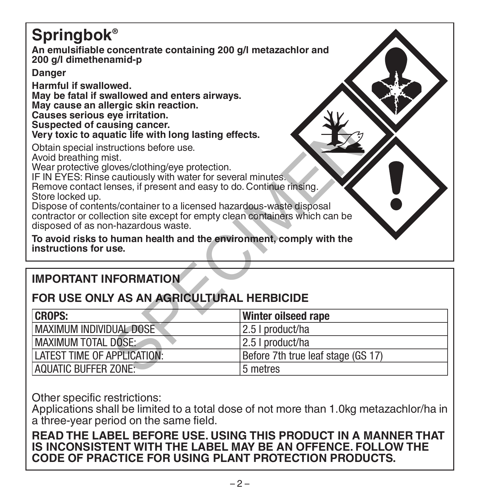# **Springbok® An emulsifiable concentrate containing 200 g/l metazachlor and 200 g/l dimethenamid-p Danger Harmful if swallowed. May be fatal if swallowed and enters airways. May cause an allergic skin reaction. Causes serious eye irritation. Suspected of causing cancer. Very toxic to aquatic life with long lasting effects.** Obtain special instructions before use. Avoid breathing mist. Wear protective gloves/clothing/eye protection. IF IN EYES: Rinse cautiously with water for several minutes. Remove contact lenses, if present and easy to do. Continue rinsing. Store locked up. Dispose of contents/container to a licensed hazardous-waste disposal contractor or collection site except for empty clean containers which can be disposed of as non-hazardous waste. **To avoid risks to human health and the environment, comply with the instructions for use.** SPECIMEN

# **IMPORTANT INFORMATION**

# **FOR USE ONLY AS AN AGRICULTURAL HERBICIDE**

| <b>CROPS:</b>                | Winter oilseed rape                |
|------------------------------|------------------------------------|
| MAXIMUM INDIVIDUAL DOSE      | 12.5   product/ha                  |
| <b>IMAXIMUM TOTAL DOSE:</b>  | 12.5 I product/ha                  |
| I ATEST TIME OF APPLICATION: | Before 7th true leaf stage (GS 17) |
| <b>AQUATIC BUFFER ZONE:</b>  | 5 metres                           |

Other specific restrictions:

Applications shall be limited to a total dose of not more than 1.0kg metazachlor/ha in a three-year period on the same field.

# **READ THE LABEL BEFORE USE. USING THIS PRODUCT IN A MANNER THAT IS INCONSISTENT WITH THE LABEL MAY BE AN OFFENCE. FOLLOW THE CODE OF PRACTICE FOR USING PLANT PROTECTION PRODUCTS.**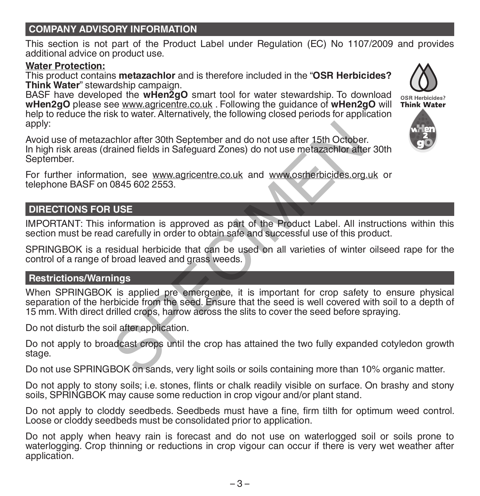#### **COMPANY ADVISORY INFORMATION**

This section is not part of the Product Label under Regulation (EC) No 1107/2009 and provides additional advice on product use.

#### **Water Protection:**

This product contains **metazachlor** and is therefore included in the "**OSR Herbicides? Think Water**" stewardship campaign.

BASF have developed the **wHen2gO** smart tool for water stewardship. To download **wHen2gO** please see www.agricentre.co.uk . Following the guidance of **wHen2gO** will help to reduce the risk to water. Alternatively, the following closed periods for application apply:

Avoid use of metazachlor after 30th September and do not use after 15th October. In high risk areas (drained fields in Safeguard Zones) do not use metazachlor after 30th September. chlor after 30th September and do not use after 15th October<br>
ained fields in Safeguard Zones) do not use metazachlor after<br>
ion, see www.agricentre.co.uk and www.osrherbicides.org<br>
0845 602 2553.<br>
USE<br>
INCOTE<br>
INCOTE:<br>
IN

For further information, see www.agricentre.co.uk and www.osrherbicides.org.uk or telephone BASF on 0845 602 2553.

# **DIRECTIONS FOR USE**

IMPORTANT: This information is approved as part of the Product Label. All instructions within this section must be read carefully in order to obtain safe and successful use of this product.

SPRINGBOK is a residual herbicide that can be used on all varieties of winter oilseed rape for the control of a range of broad leaved and grass weeds.

#### **Restrictions/Warnings**

When SPRINGBOK is applied pre emergence, it is important for crop safety to ensure physical separation of the herbicide from the seed. Ensure that the seed is well covered with soil to a depth of 15 mm. With direct drilled crops, harrow across the slits to cover the seed before spraying.

Do not disturb the soil after application.

Do not apply to broadcast crops until the crop has attained the two fully expanded cotyledon growth stage.

Do not use SPRINGBOK on sands, very light soils or soils containing more than 10% organic matter.

Do not apply to stony soils; i.e. stones, flints or chalk readily visible on surface. On brashy and stony soils, SPRINGBOK may cause some reduction in crop vigour and/or plant stand.

Do not apply to cloddy seedbeds. Seedbeds must have a fine, firm tilth for optimum weed control. Loose or cloddy seedbeds must be consolidated prior to application.

Do not apply when heavy rain is forecast and do not use on waterlogged soil or soils prone to waterlogging. Crop thinning or reductions in crop vigour can occur if there is very wet weather after application.



OSR Herbicides? Think Water

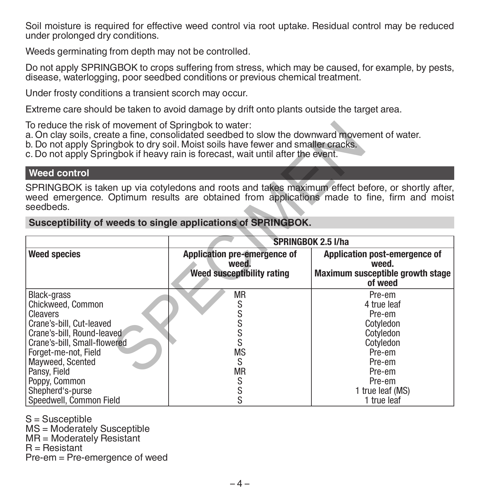Soil moisture is required for effective weed control via root uptake. Residual control may be reduced under prolonged dry conditions.

Weeds germinating from depth may not be controlled.

Do not apply SPRINGBOK to crops suffering from stress, which may be caused, for example, by pests, disease, waterlogging, poor seedbed conditions or previous chemical treatment.

Under frosty conditions a transient scorch may occur.

Extreme care should be taken to avoid damage by drift onto plants outside the target area.

To reduce the risk of movement of Springbok to water:

#### **Weed control**

#### **Susceptibility of weeds to single applications of SPRINGBOK.**

| To reduce the risk of movement of Springbok to water:<br>a. On clay soils, create a fine, consolidated seedbed to slow the downward movement of water.<br>b. Do not apply Springbok to dry soil. Moist soils have fewer and smaller cracks.<br>c. Do not apply Springbok if heavy rain is forecast, wait until after the event. |                                                                                  |                                                                                                                                                   |  |  |  |  |
|---------------------------------------------------------------------------------------------------------------------------------------------------------------------------------------------------------------------------------------------------------------------------------------------------------------------------------|----------------------------------------------------------------------------------|---------------------------------------------------------------------------------------------------------------------------------------------------|--|--|--|--|
| <b>Weed control</b>                                                                                                                                                                                                                                                                                                             |                                                                                  |                                                                                                                                                   |  |  |  |  |
| SPRINGBOK is taken up via cotyledons and roots and takes maximum effect before, or shortly after,<br>weed emergence. Optimum results are obtained from applications made to fine, firm and moist<br>seedbeds.                                                                                                                   |                                                                                  |                                                                                                                                                   |  |  |  |  |
| Susceptibility of weeds to single applications of SPRINGBOK.                                                                                                                                                                                                                                                                    |                                                                                  |                                                                                                                                                   |  |  |  |  |
|                                                                                                                                                                                                                                                                                                                                 | <b>SPRINGBOK 2.5 I/ha</b>                                                        |                                                                                                                                                   |  |  |  |  |
| <b>Weed species</b>                                                                                                                                                                                                                                                                                                             | Application pre-emergence of<br>weed.<br>Weed susceptibility rating              | Application post-emergence of<br>weed.<br>Maximum susceptible growth stage<br>of weed                                                             |  |  |  |  |
| Black-grass<br>Chickweed, Common<br><b>Cleavers</b><br>Crane's-bill, Cut-leaved<br>Crane's-bill, Round-leaved<br>Crane's-bill, Small-flowered<br>Forget-me-not, Field<br>Mayweed, Scented<br>Pansy, Field<br>Poppy, Common<br>Shepherd's-purse<br>Speedwell, Common Field                                                       | <b>MR</b><br>S<br>s<br>s<br>S<br>S<br><b>MS</b><br>S<br><b>MR</b><br>S<br>S<br>S | Pre-em<br>4 true leaf<br>Pre-em<br>Cotyledon<br>Cotyledon<br>Cotyledon<br>Pre-em<br>Pre-em<br>Pre-em<br>Pre-em<br>1 true leaf (MS)<br>1 true leaf |  |  |  |  |

S = Susceptible

MS = Moderately Susceptible

MR = Moderately Resistant

 $R =$  Resistant

Pre-em = Pre-emergence of weed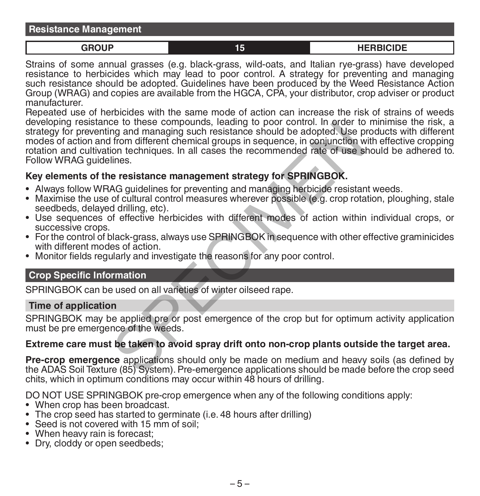**GROUP 15 HERBICIDE**

Strains of some annual grasses (e.g. black-grass, wild-oats, and Italian rye-grass) have developed resistance to herbicides which may lead to poor control. A strategy for preventing and managing such resistance should be adopted. Guidelines have been produced by the Weed Resistance Action Group (WRAG) and copies are available from the HGCA, CPA, your distributor, crop adviser or product manufacturer.

Repeated use of herbicides with the same mode of action can increase the risk of strains of weeds developing resistance to these compounds, leading to poor control. In order to minimise the risk, a strategy for preventing and managing such resistance should be adopted. Use products with different modes of action and from different chemical groups in sequence, in conjunction with effective cropping rotation and cultivation techniques. In all cases the recommended rate of use should be adhered to. Follow WRAG guidelines. Se to these compounts, leading to poor control. In order to<br>any and managing such resistance should be adopted. Use p<br>from different chemical groups in sequence, in conjunction w<br>ion techniques. In all cases the recommende

## **Key elements of the resistance management strategy for SPRINGBOK.**

- Always follow WRAG guidelines for preventing and managing herbicide resistant weeds.
- Maximise the use of cultural control measures wherever possible (e.g. crop rotation, ploughing, stale seedbeds, delayed drilling, etc).
- Use sequences of effective herbicides with different modes of action within individual crops, or successive crops.
- For the control of black-grass, always use SPRINGBOK in sequence with other effective graminicides with different modes of action.
- Monitor fields regularly and investigate the reasons for any poor control.

#### **Crop Specific Information**

SPRINGBOK can be used on all varieties of winter oilseed rape.

#### **Time of application**

SPRINGBOK may be applied pre or post emergence of the crop but for optimum activity application must be pre emergence of the weeds.

#### **Extreme care must be taken to avoid spray drift onto non-crop plants outside the target area.**

**Pre-crop emergence** applications should only be made on medium and heavy soils (as defined by the ADAS Soil Texture (85) System). Pre-emergence applications should be made before the crop seed chits, which in optimum conditions may occur within 48 hours of drilling.

DO NOT USE SPRINGBOK pre-crop emergence when any of the following conditions apply:

- When crop has been broadcast.
- The crop seed has started to germinate (i.e. 48 hours after drilling)
- Seed is not covered with 15 mm of soil;
- When heavy rain is forecast;
- Dry, cloddy or open seedbeds;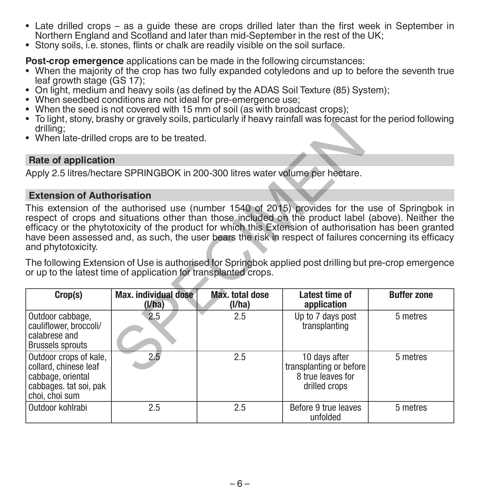- Late drilled crops as a guide these are crops drilled later than the first week in September in Northern England and Scotland and later than mid-September in the rest of the UK;
- Stony soils, i.e. stones, flints or chalk are readily visible on the soil surface.

**Post-crop emergence** applications can be made in the following circumstances:

- When the majority of the crop has two fully expanded cotyledons and up to before the seventh true leaf growth stage (GS 17):
- On light, medium and heavy soils (as defined by the ADAS Soil Texture (85) System);
- 
- When seedbed conditions are not ideal for pre-emergence use;<br>• When the seed is not covered with 15 mm of soil (as with broadcast crops);
- To light, stony, brashy or gravely soils, particularly if heavy rainfall was forecast for the period following<br>drilling:
- When late-drilled crops are to be treated.

#### **Rate of application**

#### **Extension of Authorisation**

| drilling;<br>• When late-drilled crops are to be treated.                                                                                                                  |                                |                           |                                                                                                                                                                                                                                                                                                                                                                                                                              |                    |  |  |
|----------------------------------------------------------------------------------------------------------------------------------------------------------------------------|--------------------------------|---------------------------|------------------------------------------------------------------------------------------------------------------------------------------------------------------------------------------------------------------------------------------------------------------------------------------------------------------------------------------------------------------------------------------------------------------------------|--------------------|--|--|
|                                                                                                                                                                            |                                |                           |                                                                                                                                                                                                                                                                                                                                                                                                                              |                    |  |  |
| Rate of application                                                                                                                                                        |                                |                           |                                                                                                                                                                                                                                                                                                                                                                                                                              |                    |  |  |
| Apply 2.5 litres/hectare SPRINGBOK in 200-300 litres water volume per hectare.                                                                                             |                                |                           |                                                                                                                                                                                                                                                                                                                                                                                                                              |                    |  |  |
| <b>Extension of Authorisation</b>                                                                                                                                          |                                |                           |                                                                                                                                                                                                                                                                                                                                                                                                                              |                    |  |  |
| and phytotoxicity.                                                                                                                                                         |                                |                           | This extension of the authorised use (number 1540 of 2015) provides for the use of Springbok in<br>respect of crops and situations other than those included on the product label (above). Neither the<br>efficacy or the phytotoxicity of the product for which this Extension of authorisation has been granted<br>have been assessed and, as such, the user bears the risk in respect of failures concerning its efficacy |                    |  |  |
| The following Extension of Use is authorised for Springbok applied post drilling but pre-crop emergence<br>or up to the latest time of application for transplanted crops. |                                |                           |                                                                                                                                                                                                                                                                                                                                                                                                                              |                    |  |  |
| Crop(s)                                                                                                                                                                    | Max. individual dose<br>(I/ha) | Max. total dose<br>(I/ha) | Latest time of<br>application                                                                                                                                                                                                                                                                                                                                                                                                | <b>Buffer zone</b> |  |  |
| Outdoor cabbage,<br>cauliflower, broccoli/<br>calabrese and<br><b>Brussels sprouts</b>                                                                                     | 2.5                            | 2.5                       | Up to 7 days post<br>transplanting                                                                                                                                                                                                                                                                                                                                                                                           | 5 metres           |  |  |
| Outdoor crops of kale,<br>collard, chinese leaf<br>cabbage, oriental<br>cabbages, tat soi, pak<br>choi, choi sum                                                           | 2.5                            | 2.5                       | 10 days after<br>transplanting or before<br>8 true leaves for<br>drilled crops                                                                                                                                                                                                                                                                                                                                               | 5 metres           |  |  |
| Outdoor kohlrabi                                                                                                                                                           | 2.5                            | 2.5                       | Before 9 true leaves<br>unfolded                                                                                                                                                                                                                                                                                                                                                                                             | 5 metres           |  |  |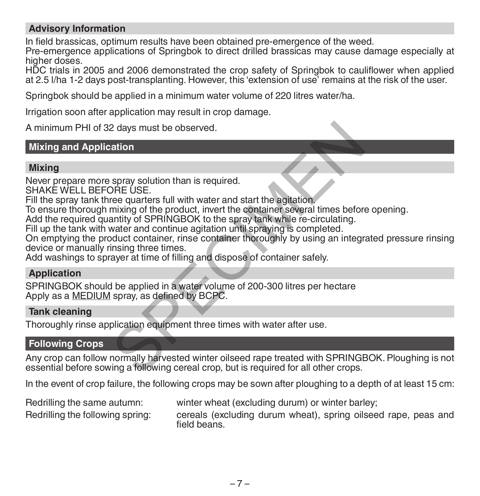# **Advisory Information**

In field brassicas, optimum results have been obtained pre-emergence of the weed.

Pre-emergence applications of Springbok to direct drilled brassicas may cause damage especially at higher doses.

HDC trials in 2005 and 2006 demonstrated the crop safety of Springbok to cauliflower when applied at 2.5 l/ha 1-2 days post-transplanting. However, this 'extension of use' remains at the risk of the user.

Springbok should be applied in a minimum water volume of 220 litres water/ha.

Irrigation soon after application may result in crop damage.

A minimum PHI of 32 days must be observed.

# **Mixing and Application**

#### **Mixing**

Never prepare more spray solution than is required.

SHAKE WELL BEFORE USE.

Fill the spray tank three quarters full with water and start the agitation.

To ensure thorough mixing of the product, invert the container several times before opening.

Add the required quantity of SPRINGBOK to the spray tank while re-circulating.

Fill up the tank with water and continue agitation until spraying is completed.

On emptying the product container, rinse container thoroughly by using an integrated pressure rinsing device or manually rinsing three times.

Add washings to sprayer at time of filling and dispose of container safely.

# **Application**

SPRINGBOK should be applied in a water volume of 200-300 litres per hectare Apply as a MEDIUM spray, as defined by BCPC.

#### **Tank cleaning**

Thoroughly rinse application equipment three times with water after use.

#### **Following Crops**

Any crop can follow normally harvested winter oilseed rape treated with SPRINGBOK. Ploughing is not essential before sowing a following cereal crop, but is required for all other crops. 2 days must be observed.<br>
ation<br>
SPRE USE.<br>
SPRE USE:<br>
SPEC USE:<br>
THE USE CONDITY was also the apitation<br>
mixing of the product, invert the container several times before<br>
matter and continue agitation until spraying is co

In the event of crop failure, the following crops may be sown after ploughing to a depth of at least 15 cm:

Redrilling the same autumn: winter wheat (excluding durum) or winter barley;

Redrilling the following spring: cereals (excluding durum wheat), spring oilseed rape, peas and field beans.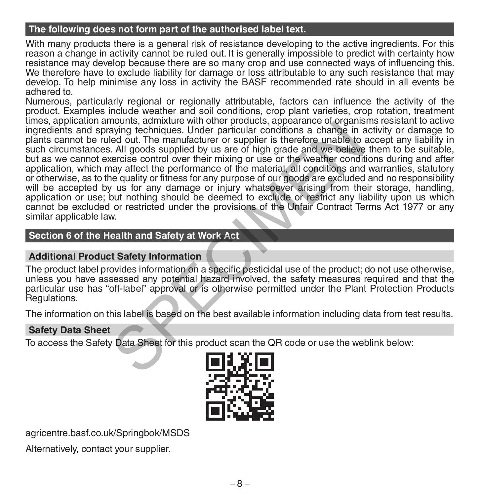## **The following does not form part of the authorised label text.**

With many products there is a general risk of resistance developing to the active ingredients. For this reason a change in activity cannot be ruled out. It is generally impossible to predict with certainty how resistance may develop because there are so many crop and use connected ways of influencing this. We therefore have to exclude liability for damage or loss attributable to any such resistance that may develop. To help minimise any loss in activity the BASF recommended rate should in all events be adhered to.

Numerous, particularly regional or regionally attributable, factors can influence the activity of the product. Examples include weather and soil conditions, crop plant varieties, crop rotation, treatment times, application amounts, admixture with other products, appearance of organisms resistant to active ingredients and spraying techniques. Under particular conditions a change in activity or damage to plants cannot be ruled out. The manufacturer or supplier is therefore unable to accept any liability in such circumstances. All goods supplied by us are of high grade and we believe them to be suitable, but as we cannot exercise control over their mixing or use or the weather conditions during and after application, which may affect the performance of the material, all conditions and warranties, statutory or otherwise, as to the quality or fitness for any purpose of our goods are excluded and no responsibility will be accepted by us for any damage or injury whatsoever arising from their storage, handling, application or use; but nothing should be deemed to exclude or restrict any liability upon us which cannot be excluded or restricted under the provisions of the Unfair Contract Terms Act 1977 or any similar applicable law. nouting, authorite with other protoucle, appearance or originalized to a control and paying techniques. Under particular conditions a change in ed out. The manufacturer or supplier is therefore unable to child goods suppli

## **Section 6 of the Health and Safety at Work Act**

#### **Additional Product Safety Information**

The product label provides information on a specific pesticidal use of the product; do not use otherwise, unless you have assessed any potential hazard involved, the safety measures required and that the particular use has "off-label" approval or is otherwise permitted under the Plant Protection Products Regulations.

The information on this label is based on the best available information including data from test results.

#### **Safety Data Sheet**

To access the Safety Data Sheet for this product scan the QR code or use the weblink below:



agricentre.basf.co.uk/Springbok/MSDS

Alternatively, contact your supplier.